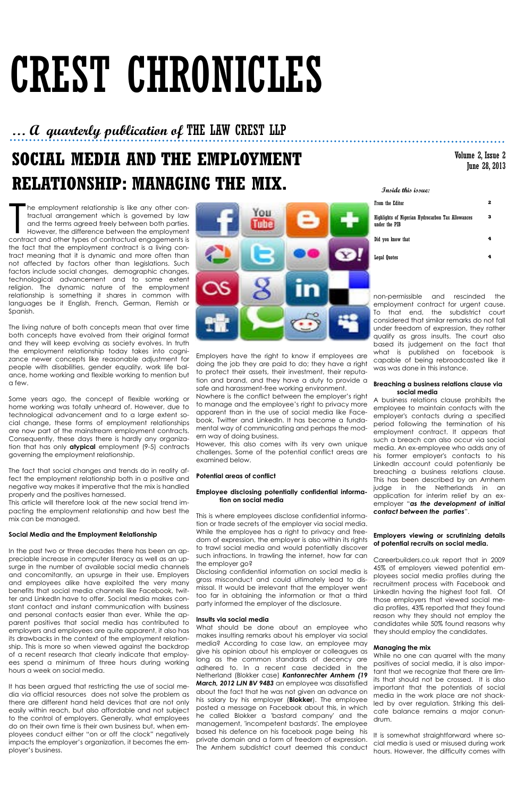## **SOCIAL MEDIA AND THE EMPLOYMENT RELATIONSHIP: MANAGING THE MIX.**

# CREST CHRONICLES

### **Inside this issue:**

| From the Editor                                                    |  |
|--------------------------------------------------------------------|--|
| Highlights of Nigerian Hydrocarbon Tax Allowances<br>under the PIB |  |
| Did you know that                                                  |  |
| <b>Legal Quotes</b>                                                |  |

### **… A quarterly publication of** THE LAW CREST LLP

### Volume 2, Issue 2 June 28, 2013

The employment relationship is like any other contractual arrangement which is governed by law and the terms agreed freely between both parties.<br>However, the difference between the employment contract and other types of co he employment relationship is like any other contractual arrangement which is governed by law and the terms agreed freely between both parties. However, the difference between the employment the fact that the employment contract is a living contract meaning that it is dynamic and more often than not affected by factors other than legislations. Such factors include social changes, demographic changes, technological advancement and to some extent religion. The dynamic nature of the employment relationship is something it shares in common with languages be it English, French, German, Flemish or Spanish.

The living nature of both concepts mean that over time both concepts have evolved from their original format and they will keep evolving as society evolves. In truth the employment relationship today takes into cognizance newer concepts like reasonable adjustment for people with disabilities, gender equality, work life balance, home working and flexible working to mention but a few.

Some years ago, the concept of flexible working or home working was totally unheard of. However, due to technological advancement and to a large extent social change, these forms of employment relationships are now part of the mainstream employment contracts. Consequently, these days there is hardly any organization that has only **atypical** employment (9-5) contracts governing the employment relationship.

The fact that social changes and trends do in reality affect the employment relationship both in a positive and negative way makes it imperative that the mix is handled properly and the positives harnessed.

This article will therefore look at the new social trend impacting the employment relationship and how best the mix can be managed.

### **Social Media and the Employment Relationship**

In the past two or three decades there has been an appreciable increase in computer literacy as well as an upsurge in the number of available social media channels and concomitantly, an upsurge in their use. Employers and employees alike have exploited the very many benefits that social media channels like Facebook, twitter and LinkedIn have to offer. Social media makes constant contact and instant communication with business and personal contacts easier than ever. While the apparent positives that social media has contributed to employers and employees are quite apparent, it also has its drawbacks in the context of the employment relationship. This is more so when viewed against the backdrop of a recent research that clearly indicate that employees spend a minimum of three hours during working hours a week on social media.



It has been argued that restricting the use of social media via official resources does not solve the problem as there are different hand held devices that are not only easily within reach, but also affordable and not subject to the control of employers. Generally, what employees do on their own time is their own business but, when employees conduct either "on or off the clock" negatively impacts the employer's organization, it becomes the employer's business.

Employers have the right to know if employees are doing the job they are paid to do; they have a right to protect their assets, their investment, their reputation and brand, and they have a duty to provide a safe and harassment-free working environment.

Nowhere is the conflict between the employer's right to manage and the employee's right to privacy more apparent than in the use of social media like Facebook, Twitter and LinkedIn. It has become a fundamental way of communicating and perhaps the modern way of doing business.

However, this also comes with its very own unique challenges. Some of the potential conflict areas are examined below.

### **Potential areas of conflict**

### **Employee disclosing potentially confidential information on social media**

This is where employees disclose confidential information or trade secrets of the employer via social media. While the employee has a right to privacy and freedom of expression, the employer is also within its rights to trawl social media and would potentially discover such infractions. In trawling the internet, how far can the employer go?

Disclosing confidential information on social media is gross misconduct and could ultimately lead to dis-

missal. It would be irrelevant that the employer went too far in obtaining the information or that a third party informed the employer of the disclosure.

#### **Insults via social media**

What should be done about an employee who makes insulting remarks about his employer via social media? According to case law, an employee may give his opinion about his employer or colleagues as long as the common standards of decency are adhered to. In a recent case decided in the Netherland (Blokker case) *Kantonrechter Arnhem (19 March, 2012 LJN BV 9483* an employee was dissatisfied about the fact that he was not given an advance on his salary by his employer (**Blokker**). The employee posted a message on Facebook about this, in which he called Blokker a 'bastard company' and the management, 'incompetent bastards'. The employee based his defence on his facebook page being his private domain and a form of freedom of expression. The Arnhem subdistrict court deemed this conduct

non-permissible and rescinded the employment contract for urgent cause. To that end, the subdistrict court considered that similar remarks do not fall under freedom of expression, they rather qualify as gross insults. The court also based its judgement on the fact that what is published on facebook is capable of being rebroadcasted like it was was done in this instance.

### **Breaching a business relations clause via social media**

A business relations clause prohibits the employee to maintain contacts with the employer's contacts during a specified period following the termination of his employment contract. It appears that such a breach can also occur via social media. An ex-employee who adds any of his former employer's contacts to his LinkedIn account could potentianly be breaching a business relations clause. This has been described by an Arnhem judge in the Netherlands in an application for interim relief by an exemployer "*as the development of initial contact between the parties*".

### **Employers viewing or scrutinizing details of potential recruits on social media.**

Careerbuilders.co.uk report that in 2009 45% of employers viewed potential employees social media profiles during the recruitment process with Facebook and LinkedIn having the highest foot fall. Of those employers that viewed social media profiles, 43% reported that they found reason why they should not employ the candidates while 50% found reasons why they should employ the candidates.

### **Managing the mix**

While no one can quarrel with the many positives of social media, it is also important that we recognize that there are limits that should not be crossed. It is also important that the potentials of social media in the work place are not shackled by over regulation. Striking this delicate balance remains a major conundrum.

It is somewhat straightforward where social media is used or misused during work hours. However, the difficulty comes with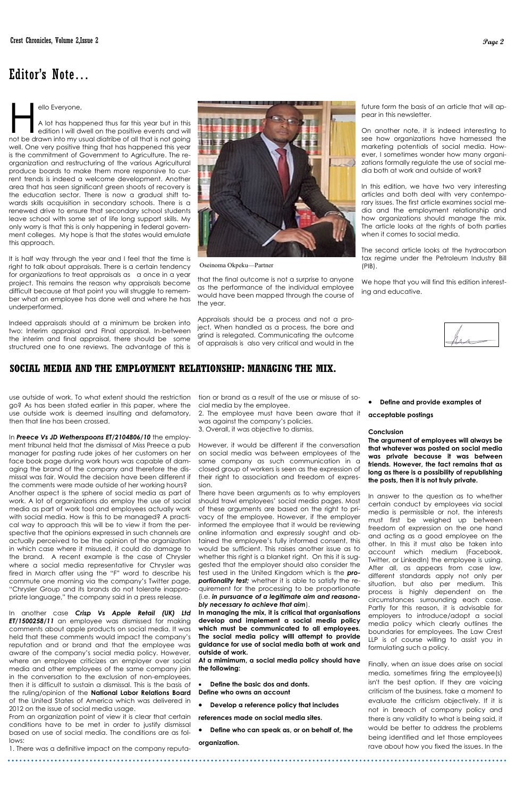### **SOCIAL MEDIA AND THE EMPLOYMENT RELATIONSHIP: MANAGING THE MIX.**

ello Everyone,<br>A lot has happened thus far this year but in this<br>edition I will dwell on the positive events and will<br>not be drawn into my usual diatribe of all that is not going ello Everyone, A lot has happened thus far this year but in this edition I will dwell on the positive events and will well. One very positive thing that has happened this year is the commitment of Government to Agriculture. The reorganization and restructuring of the various Agricultural produce boards to make them more responsive to current trends is indeed a welcome development. Another area that has seen significant green shoots of recovery is the education sector. There is now a gradual shift towards skills acquisition in secondary schools. There is a renewed drive to ensure that secondary school students leave school with some set of life long support skills. My only worry is that this is only happening in federal government colleges. My hope is that the states would emulate this approach.

It is half way through the year and I feel that the time is right to talk about appraisals. There is a certain tendency for organizations to treat appraisals as a once in a year project. This remains the reason why appraisals become difficult because at that point you will struggle to remember what an employee has done well and where he has underperformed.

Indeed appraisals should at a minimum be broken into two: Interim appraisal and FInal appraisal. In-between the interim and final appraisal, there should be some structured one to one reviews. The advantage of this is

that the final outcome is not a surprise to anyone as the performance of the individual employee would have been mapped through the course of the year.

Appraisals should be a process and not a project. When handled as a process, the bore and grind is relegated. Communicating the outcome of appraisals is also very critical and would in the

### Editor's Note…

future form the basis of an article that will appear in this newsletter.

On another note, it is indeed interesting to see how organizations have harnessed the marketing potentials of social media. However, I sometimes wonder how many organizations formally regulate the use of social media both at work and outside of work?

In this edition, we have two very interesting articles and both deal with very contemporary issues. The first article examines social media and the employment relationship and how organizations should manage the mix. The article looks at the rights of both parties when it comes to social media.

The second article looks at the hydrocarbon tax regime under the Petroleum Industry Bill (PIB).

We hope that you will find this edition interesting and educative.



tion or brand as a result of the use or misuse of social media by the employee.

2. The employee must have been aware that it was against the company's policies.

3. Overall, it was objective to dismiss.

However, it would be different if the conversation on social media was between employees of the same company as such communication in a closed group of workers is seen as the expression of their right to association and freedom of expression.

There have been arguments as to why employers should trawl employees' social media pages. Most of these arguments are based on the right to privacy of the employee. However, if the employer informed the employee that it would be reviewing online information and expressly sought and obtained the employee's fully informed consent, this would be sufficient. This raises another issue as to whether this right is a blanket right. On this it is suggested that the employer should also consider the test used in the United Kingdom which is the *proportionality test;* whether it is able to satisfy the re-

quirement for the processing to be proportionate (i.e. *in pursuance of a legitimate aim and reasonably necessary to achieve that aim*).

**In managing the mix, it is critical that organisations develop and implement a social media policy which must be communicated to all employees. The social media policy willl attempt to provide guidance for use of social media both at work and outside of work.**

**At a mimimum, a social media policy should have the following:**

- **Define the basic dos and donts. Define who owns an account**
- **Develop a reference policy that includes**

**references made on social media sites.**

**Define who can speak as, or on behalf of, the** 

#### **organization.**

use outside of work. To what extent should the restriction go? As has been stated earlier in this paper, where the use outside work is deemed insulting and defamatory, then that line has been crossed.

In *Preece Vs JD Wetherspoons ET/2104806/10* the employment tribunal held that the dismissal of Miss Preece a pub manager for pasting rude jokes of her customers on her face book page during work hours was capable of damaging the brand of the company and therefore the dismissal was fair. Would the decision have been different if the comments were made outside of her working hours? Another aspect is the sphere of social media as part of work. A lot of organizations do employ the use of social media as part of work tool and employees actually work with social media. How is this to be managed? A practical way to approach this will be to view it from the perspective that the opinions expressed in such channels are actually perceived to be the opinion of the organization in which case where it misused, it could do damage to the brand. A recent example is the case of Chrysler where a social media representative for Chrysler was fired in March after using the "F" word to describe his commute one morning via the company's Twitter page.

"Chrysler Group and its brands do not tolerate inappropriate language," the company said in a press release.

In another case *Crisp Vs Apple Retail (UK) Ltd ET/1500258/11* an employee was dismissed for making comments about apple products on social media. It was held that these comments would impact the company's reputation and or brand and that the employee was aware of the company's social media policy. However, where an employee criticizes an employer over social media and other employees of the same company join in the conversation to the exclusion of non-employees, then it is difficult to sustain a dismissal. This is the basis of the ruling/opinion of the **National Labor Relations Board** of the United States of America which was delivered in 2012 on the issue of social media usage.

From an organization point of view it is clear that certain conditions have to be met in order to justify dismissal based on use of social media. The conditions are as follows:

1. There was a definitive impact on the company reputa-



Oseinoma Okpeku—Partner

**Define and provide examples of** 

**acceptable postings**

#### **Conclusion**

**The argument of employees will always be that whatever was posted on social media was private because it was between friends. However, the fact remains that as long as there is a possibility of republishing the posts, then it is not truly private.** 

In answer to the question as to whether certain conduct by employees via social media is permissible or not, the interests must first be weighed up between freedom of expression on the one hand and acting as a good employee on the other. In this it must also be taken into account which medium (Facebook, Twitter, or LinkedIn) the employee is using. After all, as appears from case law, different standards apply not only per situation, but also per medium. This process is highly dependent on the circumstances surrounding each case. Partly for this reason, it is advisable for employers to introduce/adopt a social media policy which clearly outlines the boundaries for employees. The Law Crest LLP is of course willing to assist you in formulating such a policy.

Finally, when an issue does arise on social media, sometimes firing the employee(s) isn't the best option. If they are voicing criticism of the business, take a moment to evaluate the criticism objectively. If it is not in breach of company policy and there is any validity to what is being said, it would be better to address the problems being identified and let those employees rave about how you fixed the issues. In the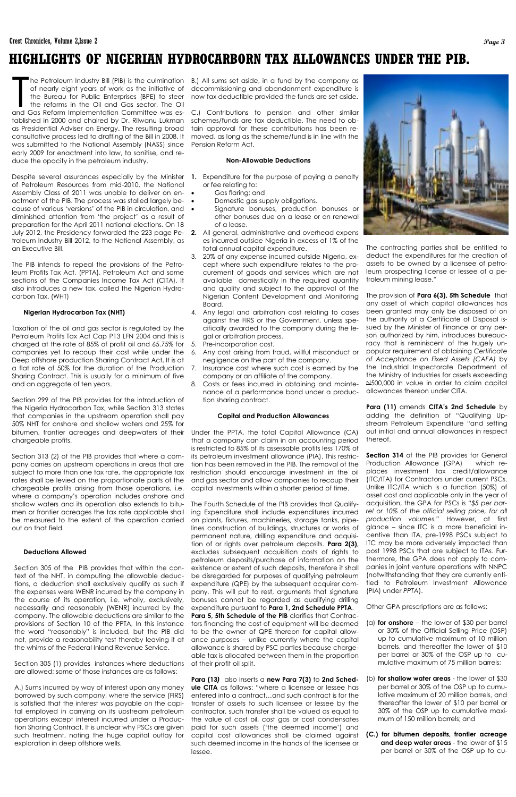### **HIGHLIGHTS OF NIGERIAN HYDROCARBORN TAX ALLOWANCES UNDER THE PIB.**

he Petroleum Industry Bill (PIB) is the culmination<br>of nearly eight years of work as the initiative of<br>the Bureau for Public Enterprises (BPE) to steer<br>the reforms in the Oil and Gas sector. The Oil<br>and Gas Reform Implemen he Petroleum Industry Bill (PIB) is the culmination of nearly eight years of work as the initiative of the Bureau for Public Enterprises (BPE) to steer the reforms in the Oil and Gas sector. The Oil tablished in 2000 and chaired by Dr. Rilwanu Lukman as Presidential Adviser on Energy. The resulting broad consultative process led to drafting of the Bill in 2008. It was submitted to the National Assembly (NASS) since early 2009 for enactment into law, to sanitise, and reduce the opacity in the petroleum industry.

Despite several assurances especially by the Minister **1.** Expenditure for the purpose of paying a penalty of Petroleum Resources from mid-2010, the National Assembly Class of 2011 was unable to deliver on en-  $\bullet$ actment of the PIB. The process was stalled largely because of various 'versions' of the PIB in circulation, and diminished attention from 'the project' as a result of preparation for the April 2011 national elections. On 18 July 2012, the Presidency forwarded the 223 page Petroleum Industry Bill 2012, to the National Assembly, as an Executive Bill.

The PIB intends to repeal the provisions of the Petroleum Profits Tax Act, (PPTA), Petroleum Act and some sections of the Companies Income Tax Act (CITA). It also introduces a new tax, called the Nigerian Hydrocarbon Tax. (WHT)

### **Nigerian Hydrocarbon Tax (NHT)**

Taxation of the oil and gas sector is regulated by the Petroleum Profits Tax Act Cap P13 LFN 2004 and this is charged at the rate of 85% of profit oil and 65.75% for companies yet to recoup their cost while under the 6. Any cost arising from fraud, willful misconduct or Deep offshore production Sharing Contract Act, It is at a flat rate of 50% for the duration of the Production 7. Insurance cost where such cost is earned by the Sharing Contract. This is usually for a minimum of five and an aggregate of ten years.

Section 299 of the PIB provides for the introduction of the Nigeria Hydrocarbon Tax, while Section 313 states that companies in the upstream operation shall pay 50% NHT for onshore and shallow waters and 25% for bitumen, frontier acreages and deepwaters of their chargeable profits.

Section 313 (2) of the PIB provides that where a company carries on upstream operations in areas that are subject to more than one tax rate, the appropriate tax rates shall be levied on the proportionate parts of the chargeable profits arising from those operations, i.e. where a company's operation includes onshore and shallow waters and its operation also extends to bitumen or frontier acreages the tax rate applicable shall be measured to the extent of the operation carried out on that field.

### **Deductions Allowed**

Section 305 of the PIB provides that within the context of the NHT, in computing the allowable deduc-be disregarded for purposes of qualifying petroleum tions, a deduction shall exclusively qualify as such if expenditure (QPE) by the subsequent acquirer comthe expenses were WENR incurred by the company in the course of its operation, i.e. wholly, exclusively, necessarily and reasonably (WENR) incurred by the company. The allowable deductions are similar to the provisions of Section 10 of the PPTA, In this instance the word "reasonably" is included, but the PIB did not, provide a reasonability test thereby leaving it at the whims of the Federal Inland Revenue Service.

Section 305 (1) provides instances where deductions are allowed; some of those instances are as follows:

A.) Sums incurred by way of interest upon any money borrowed by such company, where the service (FIRS) is satisfied that the interest was payable on the capital employed in carrying on its upstream petroleum operations except interest incurred under a Production Sharing Contract. It is unclear why PSCs are given such treatment, noting the huge capital outlay for exploration in deep offshore wells.

B.) All sums set aside, in a fund by the company as decommissioning and abandonment expenditure is now tax deductible provided the funds are set aside.

C.) Contributions to pension and other similar schemes/funds are tax deductible. The need to obtain approval for these contributions has been removed, as long as the scheme/fund is in line with the Pension Reform Act.

### **Non-Allowable Deductions**

- or fee relating to:
- Gas flaring; and
- Domestic gas supply obligations.
- Signature bonuses, production bonuses or other bonuses due on a lease or on renewal of a lease.
- **2.** All general, administrative and overhead expens es incurred outside Nigeria in excess of 1% of the total annual capital expenditure.
- 3. 20% of any expense incurred outside Nigeria, except where such expenditure relates to the procurement of goods and services which are not available domestically in the required quantity and quality and subject to the approval of the Nigerian Content Development and Monitoring Board.
- 4. Any legal and arbitration cost relating to cases against the FIRS or the Government, unless specifically awarded to the company during the legal or arbitration process.
- Pre-incorporation cost.
- negligence on the part of the company.
- company or an affiliate of the company.
- 8. Costs or fees incurred in obtaining and maintenance of a performance bond under a production sharing contract.

### **Capital and Production Allowances**

Under the PPTA, the total Capital Allowance (CA) that a company can claim in an accounting period is restricted to 85% of its assessable profits less 170% of its petroleum investment allowance (PIA). This restriction has been removed in the PIB. The removal of the restriction should encourage investment in the oil and gas sector and allow companies to recoup their capital investments within a shorter period of time.

The Fourth Schedule of the PIB provides that Qualifying Expenditure shall include expenditures incurred on plants, fixtures, machineries, storage tanks, pipelines construction of buildings, structures or works of permanent nature, drilling expenditure and acquisition of or rights over petroleum deposits. **Para 2(3)**, excludes subsequent acquisition costs of rights to petroleum deposits/purchase of information on the existence or extent of such deposits, therefore it shall pany. This will put to rest, arguments that signature bonuses cannot be regarded as qualifying drilling expenditure pursuant to **Para 1, 2nd Schedule PPTA**. Para 5, 5th Schedule of the PIB clarifies that Contractors financing the cost of equipment will be deemed to be the owner of QPE thereon for capital allowance purposes – unlike currently where the capital allowance is shared by PSC parties because chargeable tax is allocated between them in the proportion of their profit oil split.



**Para (13***)* also inserts a **new Para 7(3)** to **2nd Schedule CITA** as follows: "where a licensee or lessee has entered into a contract…and such contract is for the transfer of assets to such licensee or lessee by the contractor, such transfer shall be valued as equal to the value of cost oil, cost gas or cost condensates paid for such assets ('the deemed income') and capital cost allowances shall be claimed against such deemed income in the hands of the licensee or lessee.

The contracting parties shall be entitled to deduct the expenditures for the creation of assets to be owned by a licensee of petroleum prospecting license or lessee of a petroleum mining lease."

The provision of **Para 6(3), 5th Schedule**that any asset of which capital allowances has been granted may only be disposed of on the authority of a Certificate of Disposal issued by the Minister of Finance or any person authorized by him, introduces bureaucracy that is reminiscent of the hugely unpopular requirement of obtaining *Certificate of Acceptance on Fixed Assets (CAFA)* by the Industrial Inspectorate Department of the Ministry of Industries for assets exceeding N500,000 in value in order to claim capital allowances thereon under CITA.

**Para (11)** amends **CITA's 2nd Schedule** by adding the definition of "Qualifying Upstream Petroleum Expenditure "and setting out initial and annual allowances in respect thereof.

**Section 314** of the PIB provides for General Production Allowance (GPA) which replaces investment tax credit/allowance (ITC/ITA) for Contractors under current PSCs. Unlike ITC/ITA which is a function (50%) of asset cost and applicable only in the year of acquisition, the GPA for PSCs is *"\$5 per barrel or 10% of the official selling price, for all production volumes."* However, at first glance – since ITC is a more beneficial incentive than ITA, pre-1998 PSCs subject to ITC may be more adversely impacted than post 1998 PSCs that are subject to ITAs. Furthermore, the GPA does not apply to companies in joint venture operations with NNPC (notwithstanding that they are currently entitled to Petroleum Investment Allowance

(PIA) under *PPTA*).

Other GPA prescriptions are as follows:

- (a) **for onshore** the lower of \$30 per barrel or 30% of the Official Selling Price (OSP) up to cumulative maximum of 10 million barrels, and thereafter the lower of \$10 per barrel or 30% of the OSP up to cumulative maximum of 75 million barrels;
- (b) **for shallow water areas** the lower of \$30 per barrel or 30% of the OSP up to cumulative maximum of 20 million barrels, and thereafter the lower of \$10 per barrel or 30% of the OSP up to cumulative maximum of 150 million barrels; and
- **(C.) for bitumen deposits, frontier acreage and deep water areas** - the lower of \$15 per barrel or 30% of the OSP up to cu-